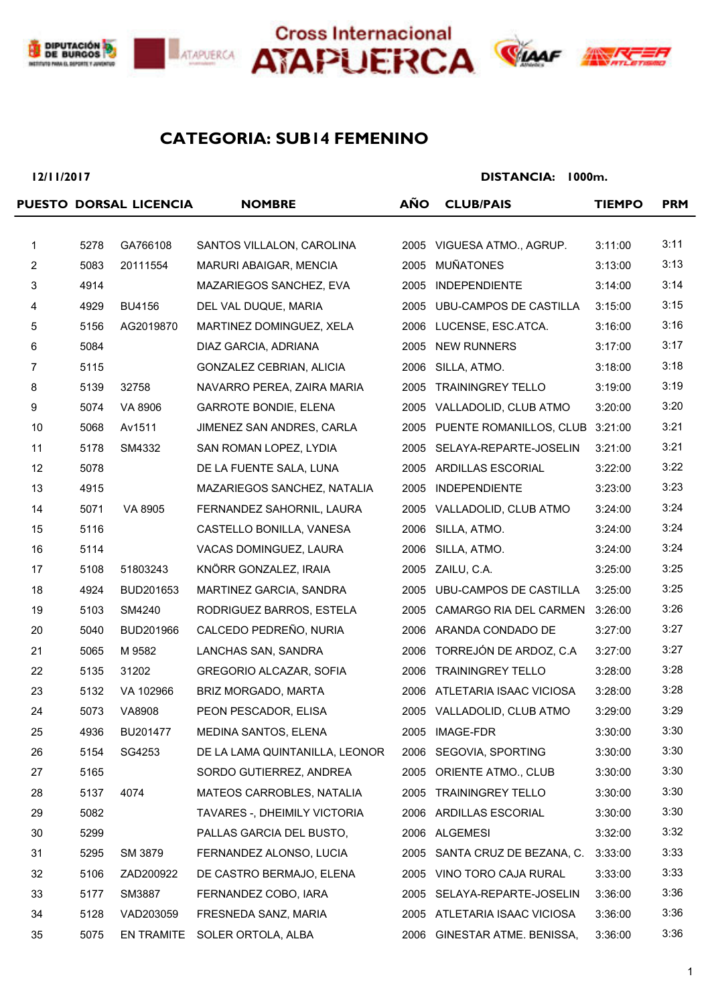







## **SUB14 FEMENINO CATEGORIA:**

**12/11/2017**

|                |      | PUESTO DORSAL LICENCIA | <b>NOMBRE</b>                  | <b>AÑO</b> | <b>CLUB/PAIS</b>                     | <b>TIEMPO</b> | <b>PRM</b>   |
|----------------|------|------------------------|--------------------------------|------------|--------------------------------------|---------------|--------------|
| $\mathbf{1}$   | 5278 | GA766108               | SANTOS VILLALON, CAROLINA      |            | 2005 VIGUESA ATMO., AGRUP.           | 3:11:00       | 3:11         |
| $\overline{c}$ | 5083 | 20111554               | MARURI ABAIGAR, MENCIA         | 2005       | <b>MUÑATONES</b>                     | 3:13:00       | 3:13         |
| $\mathbf{3}$   | 4914 |                        | MAZARIEGOS SANCHEZ, EVA        | 2005       | <b>INDEPENDIENTE</b>                 | 3:14:00       | 3:14         |
| $\overline{4}$ | 4929 | <b>BU4156</b>          | DEL VAL DUQUE, MARIA           | 2005       | <b>UBU-CAMPOS DE CASTILLA</b>        | 3:15:00       | 3:15         |
| 5              | 5156 | AG2019870              | MARTINEZ DOMINGUEZ, XELA       |            | 2006 LUCENSE, ESC.ATCA.              | 3:16:00       | 3:16         |
| 6              | 5084 |                        | DIAZ GARCIA, ADRIANA           | 2005       | <b>NEW RUNNERS</b>                   | 3:17:00       | 3:17         |
| 7              | 5115 |                        | GONZALEZ CEBRIAN, ALICIA       | 2006       | SILLA, ATMO.                         | 3:18:00       | 3:18         |
| 8              | 5139 | 32758                  | NAVARRO PEREA, ZAIRA MARIA     | 2005       | <b>TRAININGREY TELLO</b>             | 3:19:00       | 3:19         |
| 9              | 5074 | VA 8906                | <b>GARROTE BONDIE, ELENA</b>   | 2005       | VALLADOLID, CLUB ATMO                | 3:20:00       | 3:20         |
| 10             | 5068 | Av1511                 | JIMENEZ SAN ANDRES, CARLA      |            | 2005 PUENTE ROMANILLOS, CLUB 3:21:00 |               | 3:21         |
| 11             | 5178 | SM4332                 | SAN ROMAN LOPEZ, LYDIA         | 2005       | SELAYA-REPARTE-JOSELIN               | 3:21:00       | 3:21         |
| 12             | 5078 |                        | DE LA FUENTE SALA, LUNA        |            | 2005 ARDILLAS ESCORIAL               | 3:22:00       | 3:22         |
| 13             | 4915 |                        | MAZARIEGOS SANCHEZ, NATALIA    | 2005       | <b>INDEPENDIENTE</b>                 | 3:23:00       | 3:23         |
| 14             | 5071 | VA 8905                | FERNANDEZ SAHORNIL, LAURA      | 2005       | VALLADOLID, CLUB ATMO                | 3:24:00       | 3:24         |
| 15             | 5116 |                        | CASTELLO BONILLA, VANESA       | 2006       | SILLA, ATMO.                         | 3:24:00       | 3:24         |
| 16             | 5114 |                        | VACAS DOMINGUEZ, LAURA         | 2006       | SILLA, ATMO.                         | 3:24:00       | 3:24         |
| 17             | 5108 | 51803243               | KNÖRR GONZALEZ, IRAIA          |            | 2005 ZAILU, C.A.                     | 3:25:00       | 3:25         |
| 18             | 4924 | BUD201653              | MARTINEZ GARCIA, SANDRA        | 2005       | UBU-CAMPOS DE CASTILLA               | 3:25:00       | 3:25         |
| 19             | 5103 | SM4240                 | RODRIGUEZ BARROS, ESTELA       | 2005       | CAMARGO RIA DEL CARMEN               | 3:26:00       | 3:26         |
| 20             | 5040 | BUD201966              | CALCEDO PEDREÑO, NURIA         |            | 2006 ARANDA CONDADO DE               | 3:27:00       | 3:27         |
| 21             | 5065 | M 9582                 | LANCHAS SAN, SANDRA            | 2006       | TORREJÓN DE ARDOZ, C.A               | 3:27:00       | 3:27         |
|                |      |                        |                                |            | <b>TRAININGREY TELLO</b>             |               | 3:28         |
| 22             | 5135 | 31202                  | GREGORIO ALCAZAR, SOFIA        | 2006       |                                      | 3:28:00       | 3:28         |
| 23             | 5132 | VA 102966              | BRIZ MORGADO, MARTA            |            | 2006 ATLETARIA ISAAC VICIOSA         | 3:28:00       | 3:29         |
| 24             | 5073 | VA8908                 | PEON PESCADOR, ELISA           |            | 2005 VALLADOLID, CLUB ATMO           | 3:29:00       |              |
| 25             | 4936 | BU201477               | MEDINA SANTOS, ELENA           | 2005       | IMAGE-FDR                            | 3:30:00       | 3:30<br>3:30 |
| 26             | 5154 | SG4253                 | DE LA LAMA QUINTANILLA, LEONOR |            | 2006 SEGOVIA, SPORTING               | 3:30:00       |              |
| 27             | 5165 |                        | SORDO GUTIERREZ, ANDREA        | 2005       | ORIENTE ATMO., CLUB                  | 3:30:00       | 3:30         |
| 28             | 5137 | 4074                   | MATEOS CARROBLES, NATALIA      |            | 2005 TRAININGREY TELLO               | 3:30:00       | 3:30         |
| 29             | 5082 |                        | TAVARES -, DHEIMILY VICTORIA   |            | 2006 ARDILLAS ESCORIAL               | 3:30:00       | 3:30         |
| 30             | 5299 |                        | PALLAS GARCIA DEL BUSTO,       |            | 2006 ALGEMESI                        | 3:32:00       | 3:32         |
| 31             | 5295 | SM 3879                | FERNANDEZ ALONSO, LUCIA        | 2005       | SANTA CRUZ DE BEZANA, C.             | 3:33:00       | 3:33         |
| 32             | 5106 | ZAD200922              | DE CASTRO BERMAJO, ELENA       |            | 2005 VINO TORO CAJA RURAL            | 3:33:00       | 3:33         |
| 33             | 5177 | SM3887                 | FERNANDEZ COBO, IARA           |            | 2005 SELAYA-REPARTE-JOSELIN          | 3:36:00       | 3:36         |
| 34             | 5128 | VAD203059              | FRESNEDA SANZ, MARIA           |            | 2005 ATLETARIA ISAAC VICIOSA         | 3:36:00       | 3:36         |
| 35             | 5075 | EN TRAMITE             | SOLER ORTOLA, ALBA             |            | 2006 GINESTAR ATME. BENISSA,         | 3:36:00       | 3:36         |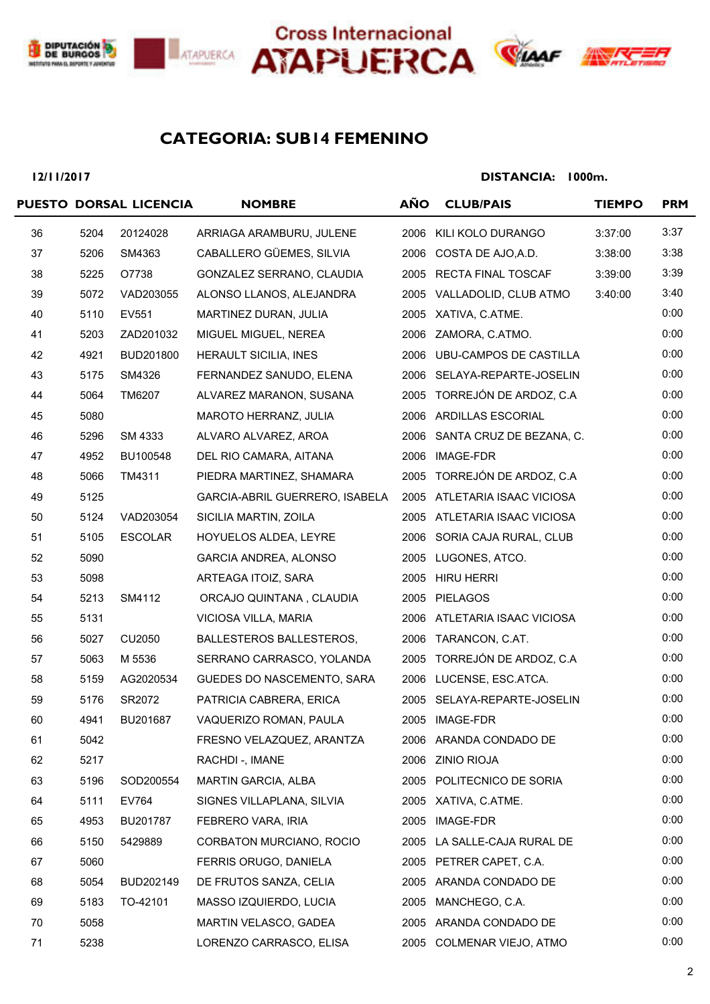





# **SUB14 FEMENINO CATEGORIA:**

**12/11/2017**

|    |      | PUESTO DORSAL LICENCIA | <b>NOMBRE</b>                   | <b>AÑO</b> | <b>CLUB/PAIS</b>              | <b>TIEMPO</b> | <b>PRM</b> |
|----|------|------------------------|---------------------------------|------------|-------------------------------|---------------|------------|
| 36 | 5204 | 20124028               | ARRIAGA ARAMBURU, JULENE        | 2006       | KILI KOLO DURANGO             | 3:37:00       | 3:37       |
| 37 | 5206 | SM4363                 | CABALLERO GÜEMES, SILVIA        |            | 2006 COSTA DE AJO, A.D.       | 3:38:00       | 3:38       |
| 38 | 5225 | O7738                  | GONZALEZ SERRANO, CLAUDIA       |            | 2005 RECTA FINAL TOSCAF       | 3:39:00       | 3:39       |
| 39 | 5072 | VAD203055              | ALONSO LLANOS, ALEJANDRA        | 2005       | VALLADOLID, CLUB ATMO         | 3:40:00       | 3:40       |
| 40 | 5110 | EV551                  | MARTINEZ DURAN, JULIA           |            | 2005 XATIVA, C.ATME.          |               | 0:00       |
| 41 | 5203 | ZAD201032              | MIGUEL MIGUEL, NEREA            |            | 2006 ZAMORA, C.ATMO.          |               | 0:00       |
| 42 | 4921 | BUD201800              | HERAULT SICILIA, INES           |            | 2006 UBU-CAMPOS DE CASTILLA   |               | 0:00       |
| 43 | 5175 | SM4326                 | FERNANDEZ SANUDO, ELENA         |            | 2006 SELAYA-REPARTE-JOSELIN   |               | 0:00       |
| 44 | 5064 | TM6207                 | ALVAREZ MARANON, SUSANA         |            | 2005 TORREJÓN DE ARDOZ, C.A   |               | 0:00       |
| 45 | 5080 |                        | MAROTO HERRANZ, JULIA           |            | 2006 ARDILLAS ESCORIAL        |               | 0:00       |
| 46 | 5296 | SM 4333                | ALVARO ALVAREZ, AROA            |            | 2006 SANTA CRUZ DE BEZANA, C. |               | 0:00       |
| 47 | 4952 | BU100548               | DEL RIO CAMARA, AITANA          | 2006       | IMAGE-FDR                     |               | 0:00       |
| 48 | 5066 | TM4311                 | PIEDRA MARTINEZ, SHAMARA        |            | 2005 TORREJÓN DE ARDOZ, C.A   |               | 0:00       |
| 49 | 5125 |                        | GARCIA-ABRIL GUERRERO, ISABELA  |            | 2005 ATLETARIA ISAAC VICIOSA  |               | 0:00       |
| 50 | 5124 | VAD203054              | SICILIA MARTIN, ZOILA           |            | 2005 ATLETARIA ISAAC VICIOSA  |               | 0:00       |
| 51 | 5105 | <b>ESCOLAR</b>         | HOYUELOS ALDEA, LEYRE           |            | 2006 SORIA CAJA RURAL, CLUB   |               | 0:00       |
| 52 | 5090 |                        | GARCIA ANDREA, ALONSO           |            | 2005 LUGONES, ATCO.           |               | 0:00       |
| 53 | 5098 |                        | ARTEAGA ITOIZ, SARA             |            | 2005 HIRU HERRI               |               | 0:00       |
| 54 | 5213 | SM4112                 | ORCAJO QUINTANA, CLAUDIA        |            | 2005 PIELAGOS                 |               | 0:00       |
| 55 | 5131 |                        | VICIOSA VILLA, MARIA            |            | 2006 ATLETARIA ISAAC VICIOSA  |               | 0:00       |
| 56 | 5027 | CU2050                 | <b>BALLESTEROS BALLESTEROS,</b> |            | 2006 TARANCON, C.AT.          |               | 0:00       |
| 57 | 5063 | M 5536                 | SERRANO CARRASCO, YOLANDA       |            | 2005 TORREJÓN DE ARDOZ, C.A   |               | 0:00       |
| 58 | 5159 | AG2020534              | GUEDES DO NASCEMENTO, SARA      |            | 2006 LUCENSE, ESC.ATCA.       |               | 0:00       |
| 59 | 5176 | SR2072                 | PATRICIA CABRERA, ERICA         |            | 2005 SELAYA-REPARTE-JOSELIN   |               | 0:00       |
| 60 | 4941 | BU201687               | VAQUERIZO ROMAN, PAULA          |            | 2005 IMAGE-FDR                |               | 0:00       |
| 61 | 5042 |                        | FRESNO VELAZQUEZ, ARANTZA       |            | 2006 ARANDA CONDADO DE        |               | 0:00       |
| 62 | 5217 |                        | RACHDI-, IMANE                  |            | 2006 ZINIO RIOJA              |               | 0:00       |
| 63 | 5196 | SOD200554              | MARTIN GARCIA, ALBA             |            | 2005 POLITECNICO DE SORIA     |               | 0:00       |
| 64 | 5111 | EV764                  | SIGNES VILLAPLANA, SILVIA       |            | 2005 XATIVA, C.ATME.          |               | 0:00       |
| 65 | 4953 | BU201787               | FEBRERO VARA, IRIA              | 2005       | <b>IMAGE-FDR</b>              |               | 0:00       |
| 66 | 5150 | 5429889                | CORBATON MURCIANO, ROCIO        |            | 2005 LA SALLE-CAJA RURAL DE   |               | 0:00       |
| 67 | 5060 |                        | FERRIS ORUGO, DANIELA           |            | 2005 PETRER CAPET, C.A.       |               | 0:00       |
| 68 | 5054 | BUD202149              | DE FRUTOS SANZA, CELIA          | 2005       | ARANDA CONDADO DE             |               | 0:00       |
| 69 | 5183 | TO-42101               | MASSO IZQUIERDO, LUCIA          | 2005       | MANCHEGO, C.A.                |               | 0:00       |
| 70 | 5058 |                        | MARTIN VELASCO, GADEA           |            | 2005 ARANDA CONDADO DE        |               | 0:00       |
| 71 | 5238 |                        | LORENZO CARRASCO, ELISA         |            | 2005 COLMENAR VIEJO, ATMO     |               | 0:00       |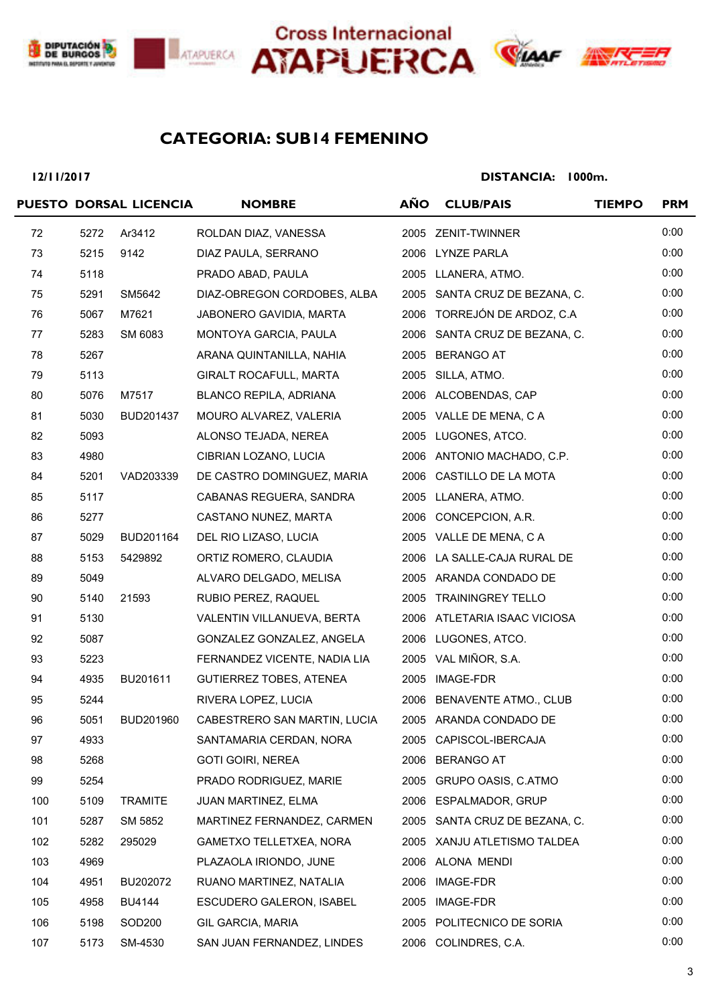







# **SUB14 FEMENINO CATEGORIA:**

#### **12/11/2017**

|     |      | PUESTO DORSAL LICENCIA | <b>NOMBRE</b>                  | AÑO  | <b>CLUB/PAIS</b>              | <b>TIEMPO</b> | <b>PRM</b> |
|-----|------|------------------------|--------------------------------|------|-------------------------------|---------------|------------|
| 72  | 5272 | Ar3412                 | ROLDAN DIAZ, VANESSA           |      | 2005 ZENIT-TWINNER            |               | 0:00       |
| 73  | 5215 | 9142                   | DIAZ PAULA, SERRANO            |      | 2006 LYNZE PARLA              |               | 0:00       |
| 74  | 5118 |                        | PRADO ABAD, PAULA              |      | 2005 LLANERA, ATMO.           |               | 0:00       |
| 75  | 5291 | SM5642                 | DIAZ-OBREGON CORDOBES, ALBA    |      | 2005 SANTA CRUZ DE BEZANA, C. |               | 0:00       |
| 76  | 5067 | M7621                  | JABONERO GAVIDIA, MARTA        |      | 2006 TORREJÓN DE ARDOZ, C.A   |               | 0:00       |
| 77  | 5283 | SM 6083                | MONTOYA GARCIA, PAULA          | 2006 | SANTA CRUZ DE BEZANA, C.      |               | 0:00       |
| 78  | 5267 |                        | ARANA QUINTANILLA, NAHIA       | 2005 | <b>BERANGO AT</b>             |               | 0:00       |
| 79  | 5113 |                        | GIRALT ROCAFULL, MARTA         |      | 2005 SILLA, ATMO.             |               | 0:00       |
| 80  | 5076 | M7517                  | BLANCO REPILA, ADRIANA         |      | 2006 ALCOBENDAS, CAP          |               | 0:00       |
| 81  | 5030 | BUD201437              | MOURO ALVAREZ, VALERIA         |      | 2005 VALLE DE MENA, C A       |               | 0:00       |
| 82  | 5093 |                        | ALONSO TEJADA, NEREA           | 2005 | LUGONES, ATCO.                |               | 0:00       |
| 83  | 4980 |                        | CIBRIAN LOZANO, LUCIA          |      | 2006 ANTONIO MACHADO, C.P.    |               | 0:00       |
| 84  | 5201 | VAD203339              | DE CASTRO DOMINGUEZ, MARIA     | 2006 | CASTILLO DE LA MOTA           |               | 0:00       |
| 85  | 5117 |                        | CABANAS REGUERA, SANDRA        |      | 2005 LLANERA, ATMO.           |               | 0:00       |
| 86  | 5277 |                        | CASTANO NUNEZ, MARTA           | 2006 | CONCEPCION, A.R.              |               | 0:00       |
| 87  | 5029 | BUD201164              | DEL RIO LIZASO, LUCIA          |      | 2005 VALLE DE MENA, C A       |               | 0:00       |
| 88  | 5153 | 5429892                | ORTIZ ROMERO, CLAUDIA          |      | 2006 LA SALLE-CAJA RURAL DE   |               | 0:00       |
| 89  | 5049 |                        | ALVARO DELGADO, MELISA         |      | 2005 ARANDA CONDADO DE        |               | 0:00       |
| 90  | 5140 | 21593                  | RUBIO PEREZ, RAQUEL            |      | 2005 TRAININGREY TELLO        |               | 0:00       |
| 91  | 5130 |                        | VALENTIN VILLANUEVA, BERTA     |      | 2006 ATLETARIA ISAAC VICIOSA  |               | 0:00       |
| 92  | 5087 |                        | GONZALEZ GONZALEZ, ANGELA      |      | 2006 LUGONES, ATCO.           |               | 0:00       |
| 93  | 5223 |                        | FERNANDEZ VICENTE, NADIA LIA   |      | 2005 VAL MIÑOR, S.A.          |               | 0:00       |
| 94  | 4935 | BU201611               | <b>GUTIERREZ TOBES, ATENEA</b> | 2005 | IMAGE-FDR                     |               | 0:00       |
| 95  | 5244 |                        | RIVERA LOPEZ, LUCIA            |      | 2006 BENAVENTE ATMO., CLUB    |               | 0:00       |
| 96  | 5051 | BUD201960              | CABESTRERO SAN MARTIN, LUCIA   |      | 2005 ARANDA CONDADO DE        |               | 0:00       |
| 97  | 4933 |                        | SANTAMARIA CERDAN, NORA        |      | 2005 CAPISCOL-IBERCAJA        |               | 0:00       |
| 98  | 5268 |                        | <b>GOTI GOIRI, NEREA</b>       |      | 2006 BERANGO AT               |               | 0:00       |
| 99  | 5254 |                        | PRADO RODRIGUEZ, MARIE         |      | 2005 GRUPO OASIS, C.ATMO      |               | 0:00       |
| 100 | 5109 | <b>TRAMITE</b>         | JUAN MARTINEZ, ELMA            |      | 2006 ESPALMADOR, GRUP         |               | 0:00       |
| 101 | 5287 | SM 5852                | MARTINEZ FERNANDEZ, CARMEN     |      | 2005 SANTA CRUZ DE BEZANA, C. |               | 0:00       |
| 102 | 5282 | 295029                 | GAMETXO TELLETXEA, NORA        |      | 2005 XANJU ATLETISMO TALDEA   |               | 0:00       |
| 103 | 4969 |                        | PLAZAOLA IRIONDO, JUNE         |      | 2006 ALONA MENDI              |               | 0:00       |
| 104 | 4951 | BU202072               | RUANO MARTINEZ, NATALIA        | 2006 | IMAGE-FDR                     |               | 0:00       |
| 105 | 4958 | <b>BU4144</b>          | ESCUDERO GALERON, ISABEL       |      | 2005 IMAGE-FDR                |               | 0:00       |
| 106 | 5198 | SOD <sub>200</sub>     | GIL GARCIA, MARIA              |      | 2005 POLITECNICO DE SORIA     |               | 0:00       |
| 107 | 5173 | SM-4530                | SAN JUAN FERNANDEZ, LINDES     |      | 2006 COLINDRES, C.A.          |               | 0:00       |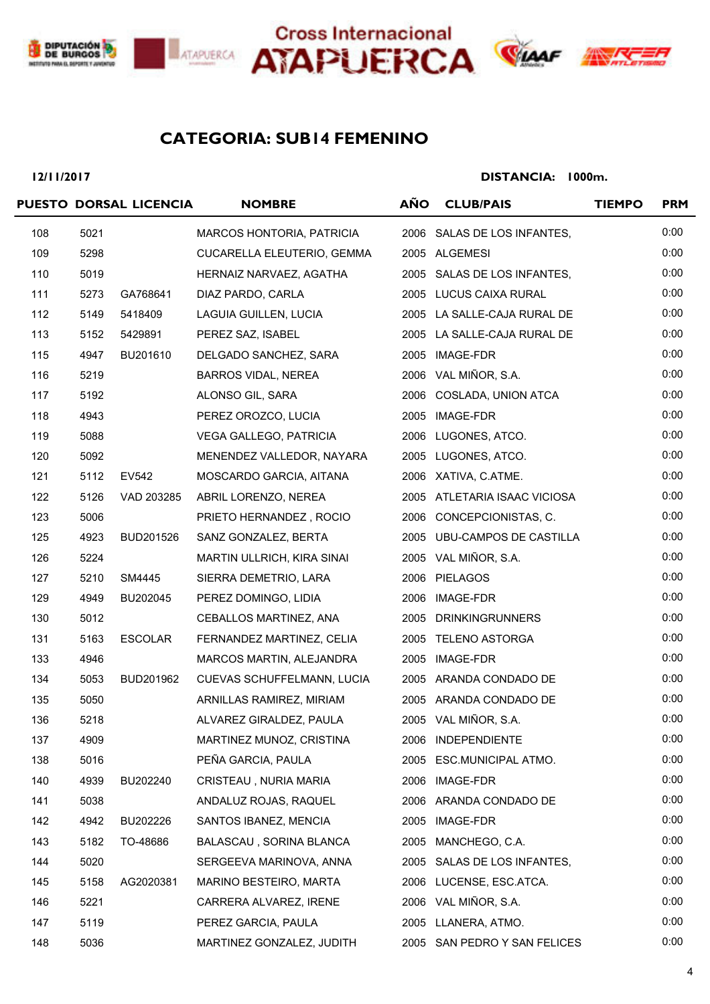





# **SUB14 FEMENINO CATEGORIA:**

#### **12/11/2017**

|     |      | PUESTO DORSAL LICENCIA | <b>NOMBRE</b>              | <b>AÑO</b> | <b>CLUB/PAIS</b>             | <b>TIEMPO</b> | <b>PRM</b> |
|-----|------|------------------------|----------------------------|------------|------------------------------|---------------|------------|
| 108 | 5021 |                        | MARCOS HONTORIA, PATRICIA  |            | 2006 SALAS DE LOS INFANTES,  |               | 0:00       |
| 109 | 5298 |                        | CUCARELLA ELEUTERIO, GEMMA |            | 2005 ALGEMESI                |               | 0:00       |
| 110 | 5019 |                        | HERNAIZ NARVAEZ, AGATHA    |            | 2005 SALAS DE LOS INFANTES,  |               | 0:00       |
| 111 | 5273 | GA768641               | DIAZ PARDO, CARLA          |            | 2005 LUCUS CAIXA RURAL       |               | 0:00       |
| 112 | 5149 | 5418409                | LAGUIA GUILLEN, LUCIA      |            | 2005 LA SALLE-CAJA RURAL DE  |               | 0:00       |
| 113 | 5152 | 5429891                | PEREZ SAZ, ISABEL          |            | 2005 LA SALLE-CAJA RURAL DE  |               | 0:00       |
| 115 | 4947 | BU201610               | DELGADO SANCHEZ, SARA      |            | 2005 IMAGE-FDR               |               | 0:00       |
| 116 | 5219 |                        | BARROS VIDAL, NEREA        |            | 2006 VAL MIÑOR, S.A.         |               | 0:00       |
| 117 | 5192 |                        | ALONSO GIL, SARA           |            | 2006 COSLADA, UNION ATCA     |               | 0:00       |
| 118 | 4943 |                        | PEREZ OROZCO, LUCIA        |            | 2005 IMAGE-FDR               |               | 0:00       |
| 119 | 5088 |                        | VEGA GALLEGO, PATRICIA     |            | 2006 LUGONES, ATCO.          |               | 0:00       |
| 120 | 5092 |                        | MENENDEZ VALLEDOR, NAYARA  |            | 2005 LUGONES, ATCO.          |               | 0:00       |
| 121 | 5112 | EV542                  | MOSCARDO GARCIA, AITANA    |            | 2006 XATIVA, C.ATME.         |               | 0:00       |
| 122 | 5126 | VAD 203285             | ABRIL LORENZO, NEREA       |            | 2005 ATLETARIA ISAAC VICIOSA |               | 0:00       |
| 123 | 5006 |                        | PRIETO HERNANDEZ, ROCIO    |            | 2006 CONCEPCIONISTAS, C.     |               | 0:00       |
| 125 | 4923 | BUD201526              | SANZ GONZALEZ, BERTA       |            | 2005 UBU-CAMPOS DE CASTILLA  |               | 0:00       |
| 126 | 5224 |                        | MARTIN ULLRICH, KIRA SINAI |            | 2005 VAL MIÑOR, S.A.         |               | 0:00       |
| 127 | 5210 | SM4445                 | SIERRA DEMETRIO, LARA      |            | 2006 PIELAGOS                |               | 0:00       |
| 129 | 4949 | BU202045               | PEREZ DOMINGO, LIDIA       |            | 2006 IMAGE-FDR               |               | 0:00       |
| 130 | 5012 |                        | CEBALLOS MARTINEZ, ANA     |            | 2005 DRINKINGRUNNERS         |               | 0:00       |
| 131 | 5163 | <b>ESCOLAR</b>         | FERNANDEZ MARTINEZ, CELIA  |            | 2005 TELENO ASTORGA          |               | 0:00       |
| 133 | 4946 |                        | MARCOS MARTIN, ALEJANDRA   |            | 2005 IMAGE-FDR               |               | 0:00       |
| 134 | 5053 | BUD201962              | CUEVAS SCHUFFELMANN, LUCIA |            | 2005 ARANDA CONDADO DE       |               | 0:00       |
| 135 | 5050 |                        | ARNILLAS RAMIREZ, MIRIAM   |            | 2005 ARANDA CONDADO DE       |               | 0:00       |
| 136 | 5218 |                        | ALVAREZ GIRALDEZ, PAULA    |            | 2005 VAL MIÑOR, S.A.         |               | 0:00       |
| 137 | 4909 |                        | MARTINEZ MUNOZ, CRISTINA   |            | 2006 INDEPENDIENTE           |               | 0:00       |
| 138 | 5016 |                        | PEÑA GARCIA, PAULA         |            | 2005 ESC.MUNICIPAL ATMO.     |               | 0:00       |
| 140 | 4939 | BU202240               | CRISTEAU, NURIA MARIA      | 2006       | IMAGE-FDR                    |               | 0:00       |
| 141 | 5038 |                        | ANDALUZ ROJAS, RAQUEL      | 2006       | ARANDA CONDADO DE            |               | 0:00       |
| 142 | 4942 | BU202226               | SANTOS IBANEZ, MENCIA      | 2005       | IMAGE-FDR                    |               | 0:00       |
| 143 | 5182 | TO-48686               | BALASCAU, SORINA BLANCA    | 2005       | MANCHEGO, C.A.               |               | 0:00       |
| 144 | 5020 |                        | SERGEEVA MARINOVA, ANNA    |            | 2005 SALAS DE LOS INFANTES,  |               | 0:00       |
| 145 | 5158 | AG2020381              | MARINO BESTEIRO, MARTA     |            | 2006 LUCENSE, ESC.ATCA.      |               | 0:00       |
| 146 | 5221 |                        | CARRERA ALVAREZ, IRENE     | 2006       | VAL MIÑOR, S.A.              |               | 0:00       |
| 147 | 5119 |                        | PEREZ GARCIA, PAULA        |            | 2005 LLANERA, ATMO.          |               | 0:00       |
| 148 | 5036 |                        | MARTINEZ GONZALEZ, JUDITH  |            | 2005 SAN PEDRO Y SAN FELICES |               | 0:00       |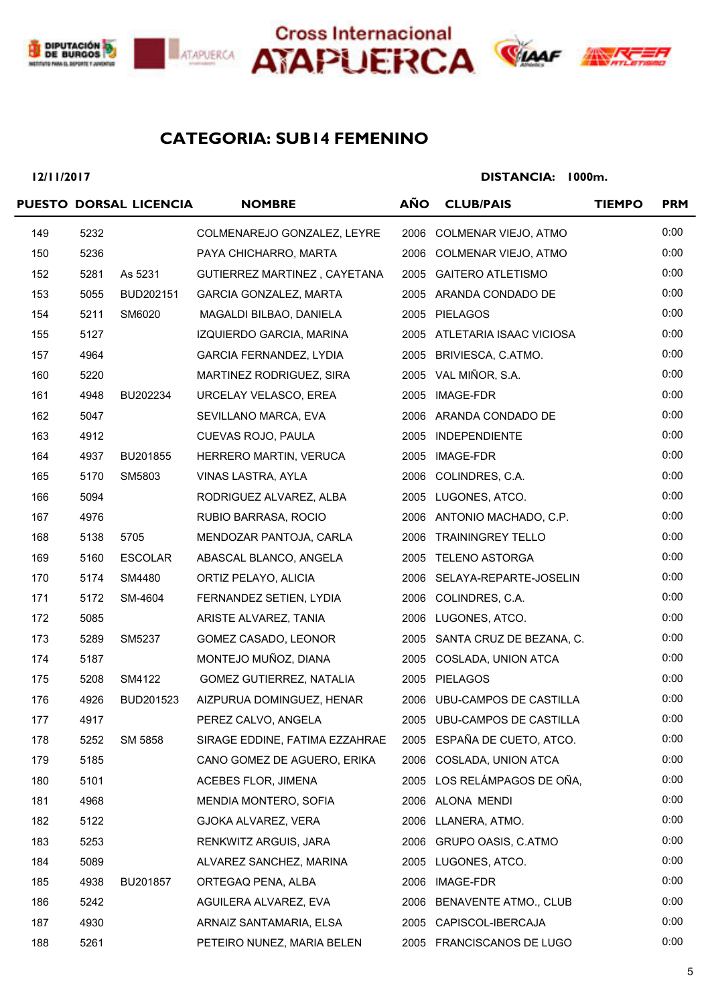







# **SUB14 FEMENINO CATEGORIA:**

#### **12/11/2017**

|     |      | PUESTO DORSAL LICENCIA | <b>NOMBRE</b>                  | <b>AÑO</b> | <b>CLUB/PAIS</b>              | <b>TIEMPO</b> | <b>PRM</b> |
|-----|------|------------------------|--------------------------------|------------|-------------------------------|---------------|------------|
| 149 | 5232 |                        | COLMENAREJO GONZALEZ, LEYRE    | 2006       | COLMENAR VIEJO, ATMO          |               | 0:00       |
| 150 | 5236 |                        | PAYA CHICHARRO, MARTA          |            | 2006 COLMENAR VIEJO, ATMO     |               | 0:00       |
| 152 | 5281 | As 5231                | GUTIERREZ MARTINEZ, CAYETANA   | 2005       | <b>GAITERO ATLETISMO</b>      |               | 0:00       |
| 153 | 5055 | BUD202151              | GARCIA GONZALEZ, MARTA         |            | 2005 ARANDA CONDADO DE        |               | 0:00       |
| 154 | 5211 | SM6020                 | MAGALDI BILBAO, DANIELA        |            | 2005 PIELAGOS                 |               | 0:00       |
| 155 | 5127 |                        | IZQUIERDO GARCIA, MARINA       |            | 2005 ATLETARIA ISAAC VICIOSA  |               | 0:00       |
| 157 | 4964 |                        | GARCIA FERNANDEZ, LYDIA        |            | 2005 BRIVIESCA, C.ATMO.       |               | 0:00       |
| 160 | 5220 |                        | MARTINEZ RODRIGUEZ, SIRA       |            | 2005 VAL MIÑOR, S.A.          |               | 0:00       |
| 161 | 4948 | BU202234               | URCELAY VELASCO, EREA          |            | 2005 IMAGE-FDR                |               | 0:00       |
| 162 | 5047 |                        | SEVILLANO MARCA, EVA           |            | 2006 ARANDA CONDADO DE        |               | 0:00       |
| 163 | 4912 |                        | CUEVAS ROJO, PAULA             |            | 2005 INDEPENDIENTE            |               | 0:00       |
| 164 | 4937 | BU201855               | HERRERO MARTIN, VERUCA         |            | 2005 IMAGE-FDR                |               | 0:00       |
| 165 | 5170 | SM5803                 | VINAS LASTRA, AYLA             |            | 2006 COLINDRES, C.A.          |               | 0:00       |
| 166 | 5094 |                        | RODRIGUEZ ALVAREZ, ALBA        |            | 2005 LUGONES, ATCO.           |               | 0:00       |
| 167 | 4976 |                        | RUBIO BARRASA, ROCIO           |            | 2006 ANTONIO MACHADO, C.P.    |               | 0:00       |
| 168 | 5138 | 5705                   | MENDOZAR PANTOJA, CARLA        |            | 2006 TRAININGREY TELLO        |               | 0:00       |
| 169 | 5160 | <b>ESCOLAR</b>         | ABASCAL BLANCO, ANGELA         |            | 2005 TELENO ASTORGA           |               | 0:00       |
| 170 | 5174 | SM4480                 | ORTIZ PELAYO, ALICIA           |            | 2006 SELAYA-REPARTE-JOSELIN   |               | 0:00       |
| 171 | 5172 | SM-4604                | FERNANDEZ SETIEN, LYDIA        |            | 2006 COLINDRES, C.A.          |               | 0:00       |
| 172 | 5085 |                        | ARISTE ALVAREZ, TANIA          |            | 2006 LUGONES, ATCO.           |               | 0:00       |
| 173 | 5289 | SM5237                 | GOMEZ CASADO, LEONOR           |            | 2005 SANTA CRUZ DE BEZANA, C. |               | 0:00       |
| 174 | 5187 |                        | MONTEJO MUÑOZ, DIANA           |            | 2005 COSLADA, UNION ATCA      |               | 0:00       |
| 175 | 5208 | SM4122                 | GOMEZ GUTIERREZ, NATALIA       |            | 2005 PIELAGOS                 |               | 0:00       |
| 176 | 4926 | BUD201523              | AIZPURUA DOMINGUEZ, HENAR      |            | 2006 UBU-CAMPOS DE CASTILLA   |               | 0:00       |
| 177 | 4917 |                        | PEREZ CALVO, ANGELA            |            | 2005 UBU-CAMPOS DE CASTILLA   |               | 0:00       |
| 178 | 5252 | SM 5858                | SIRAGE EDDINE, FATIMA EZZAHRAE |            | 2005 ESPAÑA DE CUETO, ATCO.   |               | 0:00       |
| 179 | 5185 |                        | CANO GOMEZ DE AGUERO, ERIKA    |            | 2006 COSLADA, UNION ATCA      |               | 0:00       |
| 180 | 5101 |                        | <b>ACEBES FLOR, JIMENA</b>     |            | 2005 LOS RELÁMPAGOS DE OÑA,   |               | 0:00       |
| 181 | 4968 |                        | MENDIA MONTERO, SOFIA          |            | 2006 ALONA MENDI              |               | 0:00       |
| 182 | 5122 |                        | GJOKA ALVAREZ, VERA            |            | 2006 LLANERA, ATMO.           |               | 0:00       |
| 183 | 5253 |                        | RENKWITZ ARGUIS, JARA          |            | 2006 GRUPO OASIS, C.ATMO      |               | 0:00       |
| 184 | 5089 |                        | ALVAREZ SANCHEZ, MARINA        |            | 2005 LUGONES, ATCO.           |               | 0:00       |
| 185 | 4938 | BU201857               | ORTEGAQ PENA, ALBA             |            | 2006 IMAGE-FDR                |               | 0:00       |
| 186 | 5242 |                        | AGUILERA ALVAREZ, EVA          |            | 2006 BENAVENTE ATMO., CLUB    |               | 0:00       |
| 187 | 4930 |                        | ARNAIZ SANTAMARIA, ELSA        |            | 2005 CAPISCOL-IBERCAJA        |               | 0:00       |
| 188 | 5261 |                        | PETEIRO NUNEZ, MARIA BELEN     |            | 2005 FRANCISCANOS DE LUGO     |               | 0:00       |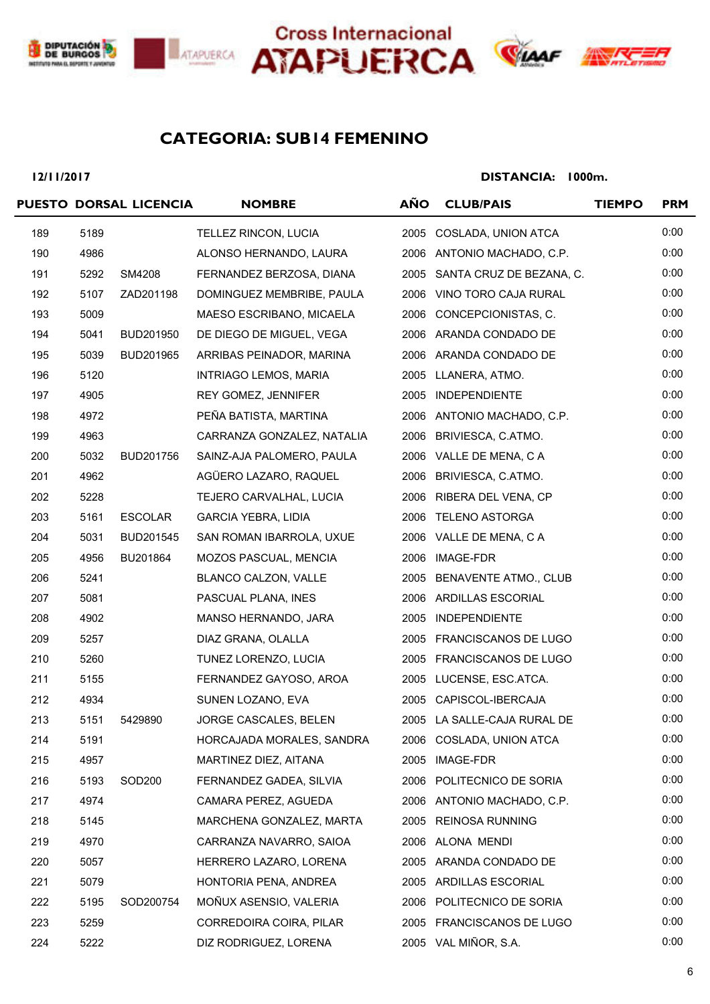





# **SUB14 FEMENINO CATEGORIA:**

#### **12/11/2017**

|     |      | PUESTO DORSAL LICENCIA | <b>NOMBRE</b>                | <b>AÑO</b> | <b>CLUB/PAIS</b>              | <b>TIEMPO</b> | <b>PRM</b> |
|-----|------|------------------------|------------------------------|------------|-------------------------------|---------------|------------|
| 189 | 5189 |                        | TELLEZ RINCON, LUCIA         | 2005       | COSLADA, UNION ATCA           |               | 0:00       |
| 190 | 4986 |                        | ALONSO HERNANDO, LAURA       |            | 2006 ANTONIO MACHADO, C.P.    |               | 0:00       |
| 191 | 5292 | SM4208                 | FERNANDEZ BERZOSA, DIANA     |            | 2005 SANTA CRUZ DE BEZANA, C. |               | 0:00       |
| 192 | 5107 | ZAD201198              | DOMINGUEZ MEMBRIBE, PAULA    | 2006       | VINO TORO CAJA RURAL          |               | 0:00       |
| 193 | 5009 |                        | MAESO ESCRIBANO, MICAELA     | 2006       | CONCEPCIONISTAS, C.           |               | 0:00       |
| 194 | 5041 | BUD201950              | DE DIEGO DE MIGUEL, VEGA     |            | 2006 ARANDA CONDADO DE        |               | 0:00       |
| 195 | 5039 | BUD201965              | ARRIBAS PEINADOR, MARINA     |            | 2006 ARANDA CONDADO DE        |               | 0:00       |
| 196 | 5120 |                        | INTRIAGO LEMOS, MARIA        |            | 2005 LLANERA, ATMO.           |               | 0:00       |
| 197 | 4905 |                        | REY GOMEZ, JENNIFER          |            | 2005 INDEPENDIENTE            |               | 0:00       |
| 198 | 4972 |                        | PEÑA BATISTA, MARTINA        |            | 2006 ANTONIO MACHADO, C.P.    |               | 0:00       |
| 199 | 4963 |                        | CARRANZA GONZALEZ, NATALIA   | 2006       | BRIVIESCA, C.ATMO.            |               | 0:00       |
| 200 | 5032 | BUD201756              | SAINZ-AJA PALOMERO, PAULA    |            | 2006 VALLE DE MENA, C A       |               | 0:00       |
| 201 | 4962 |                        | AGÜERO LAZARO, RAQUEL        |            | 2006 BRIVIESCA, C.ATMO.       |               | 0:00       |
| 202 | 5228 |                        | TEJERO CARVALHAL, LUCIA      |            | 2006 RIBERA DEL VENA, CP      |               | 0:00       |
| 203 | 5161 | <b>ESCOLAR</b>         | <b>GARCIA YEBRA, LIDIA</b>   |            | 2006 TELENO ASTORGA           |               | 0:00       |
| 204 | 5031 | BUD201545              | SAN ROMAN IBARROLA, UXUE     |            | 2006 VALLE DE MENA, C A       |               | 0:00       |
| 205 | 4956 | BU201864               | MOZOS PASCUAL, MENCIA        | 2006       | IMAGE-FDR                     |               | 0:00       |
| 206 | 5241 |                        | BLANCO CALZON, VALLE         | 2005       | <b>BENAVENTE ATMO., CLUB</b>  |               | 0:00       |
| 207 | 5081 |                        | PASCUAL PLANA, INES          |            | 2006 ARDILLAS ESCORIAL        |               | 0:00       |
| 208 | 4902 |                        | MANSO HERNANDO, JARA         |            | 2005 INDEPENDIENTE            |               | 0:00       |
| 209 | 5257 |                        | DIAZ GRANA, OLALLA           |            | 2005 FRANCISCANOS DE LUGO     |               | 0:00       |
| 210 | 5260 |                        | TUNEZ LORENZO, LUCIA         |            | 2005 FRANCISCANOS DE LUGO     |               | 0:00       |
| 211 | 5155 |                        | FERNANDEZ GAYOSO, AROA       | 2005       | LUCENSE, ESC.ATCA.            |               | 0:00       |
| 212 | 4934 |                        | SUNEN LOZANO, EVA            |            | 2005 CAPISCOL-IBERCAJA        |               | 0:00       |
| 213 | 5151 | 5429890                | <b>JORGE CASCALES, BELEN</b> |            | 2005 LA SALLE-CAJA RURAL DE   |               | 0:00       |
| 214 | 5191 |                        | HORCAJADA MORALES, SANDRA    |            | 2006 COSLADA, UNION ATCA      |               | 0:00       |
| 215 | 4957 |                        | MARTINEZ DIEZ, AITANA        |            | 2005 IMAGE-FDR                |               | 0:00       |
| 216 | 5193 | SOD <sub>200</sub>     | FERNANDEZ GADEA, SILVIA      |            | 2006 POLITECNICO DE SORIA     |               | 0:00       |
| 217 | 4974 |                        | CAMARA PEREZ, AGUEDA         |            | 2006 ANTONIO MACHADO, C.P.    |               | 0:00       |
| 218 | 5145 |                        | MARCHENA GONZALEZ, MARTA     |            | 2005 REINOSA RUNNING          |               | 0:00       |
| 219 | 4970 |                        | CARRANZA NAVARRO, SAIOA      |            | 2006 ALONA MENDI              |               | 0:00       |
| 220 | 5057 |                        | HERRERO LAZARO, LORENA       |            | 2005 ARANDA CONDADO DE        |               | 0:00       |
| 221 | 5079 |                        | HONTORIA PENA, ANDREA        |            | 2005 ARDILLAS ESCORIAL        |               | 0:00       |
| 222 | 5195 | SOD200754              | MOÑUX ASENSIO, VALERIA       |            | 2006 POLITECNICO DE SORIA     |               | 0:00       |
| 223 | 5259 |                        | CORREDOIRA COIRA, PILAR      |            | 2005 FRANCISCANOS DE LUGO     |               | 0:00       |
| 224 | 5222 |                        | DIZ RODRIGUEZ, LORENA        |            | 2005 VAL MIÑOR, S.A.          |               | 0:00       |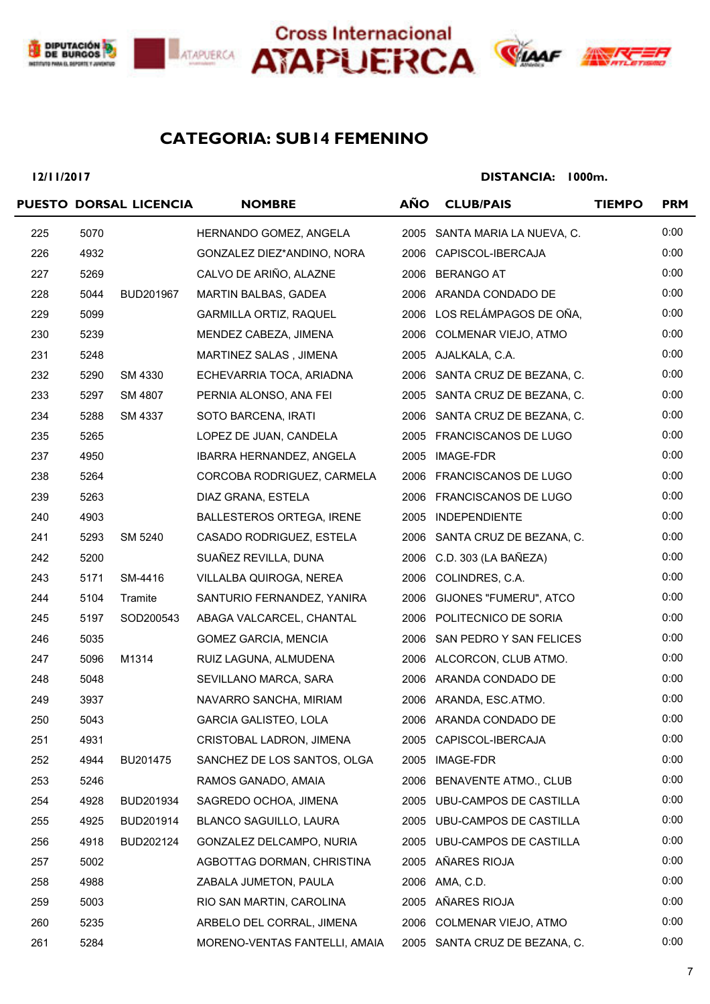





# **SUB14 FEMENINO CATEGORIA:**

#### **12/11/2017**

|     |      | PUESTO DORSAL LICENCIA | <b>NOMBRE</b>                 | AÑO  | <b>CLUB/PAIS</b>              | <b>TIEMPO</b> | <b>PRM</b> |
|-----|------|------------------------|-------------------------------|------|-------------------------------|---------------|------------|
| 225 | 5070 |                        | HERNANDO GOMEZ, ANGELA        |      | 2005 SANTA MARIA LA NUEVA, C. |               | 0:00       |
| 226 | 4932 |                        | GONZALEZ DIEZ*ANDINO, NORA    |      | 2006 CAPISCOL-IBERCAJA        |               | 0:00       |
| 227 | 5269 |                        | CALVO DE ARIÑO, ALAZNE        | 2006 | BERANGO AT                    |               | 0:00       |
| 228 | 5044 | BUD201967              | MARTIN BALBAS, GADEA          |      | 2006 ARANDA CONDADO DE        |               | 0:00       |
| 229 | 5099 |                        | <b>GARMILLA ORTIZ, RAQUEL</b> | 2006 | LOS RELÁMPAGOS DE OÑA,        |               | 0:00       |
| 230 | 5239 |                        | MENDEZ CABEZA, JIMENA         | 2006 | COLMENAR VIEJO, ATMO          |               | 0:00       |
| 231 | 5248 |                        | MARTINEZ SALAS, JIMENA        |      | 2005 AJALKALA, C.A.           |               | 0:00       |
| 232 | 5290 | SM 4330                | ECHEVARRIA TOCA, ARIADNA      |      | 2006 SANTA CRUZ DE BEZANA, C. |               | 0:00       |
| 233 | 5297 | SM 4807                | PERNIA ALONSO, ANA FEI        |      | 2005 SANTA CRUZ DE BEZANA, C. |               | 0:00       |
| 234 | 5288 | SM 4337                | SOTO BARCENA, IRATI           |      | 2006 SANTA CRUZ DE BEZANA, C. |               | 0:00       |
| 235 | 5265 |                        | LOPEZ DE JUAN, CANDELA        |      | 2005 FRANCISCANOS DE LUGO     |               | 0:00       |
| 237 | 4950 |                        | IBARRA HERNANDEZ, ANGELA      |      | 2005 IMAGE-FDR                |               | 0:00       |
| 238 | 5264 |                        | CORCOBA RODRIGUEZ, CARMELA    |      | 2006 FRANCISCANOS DE LUGO     |               | 0:00       |
| 239 | 5263 |                        | DIAZ GRANA, ESTELA            |      | 2006 FRANCISCANOS DE LUGO     |               | 0:00       |
| 240 | 4903 |                        | BALLESTEROS ORTEGA, IRENE     |      | 2005 INDEPENDIENTE            |               | 0:00       |
| 241 | 5293 | SM 5240                | CASADO RODRIGUEZ, ESTELA      |      | 2006 SANTA CRUZ DE BEZANA, C. |               | 0:00       |
| 242 | 5200 |                        | SUAÑEZ REVILLA, DUNA          | 2006 | C.D. 303 (LA BAÑEZA)          |               | 0:00       |
| 243 | 5171 | SM-4416                | VILLALBA QUIROGA, NEREA       | 2006 | COLINDRES, C.A.               |               | 0:00       |
| 244 | 5104 | Tramite                | SANTURIO FERNANDEZ, YANIRA    | 2006 | GIJONES "FUMERU", ATCO        |               | 0:00       |
| 245 | 5197 | SOD200543              | ABAGA VALCARCEL, CHANTAL      |      | 2006 POLITECNICO DE SORIA     |               | 0:00       |
| 246 | 5035 |                        | GOMEZ GARCIA, MENCIA          |      | 2006 SAN PEDRO Y SAN FELICES  |               | 0:00       |
| 247 | 5096 | M1314                  | RUIZ LAGUNA, ALMUDENA         |      | 2006 ALCORCON, CLUB ATMO.     |               | 0:00       |
| 248 | 5048 |                        | SEVILLANO MARCA, SARA         |      | 2006 ARANDA CONDADO DE        |               | 0:00       |
| 249 | 3937 |                        | NAVARRO SANCHA, MIRIAM        |      | 2006 ARANDA, ESC.ATMO.        |               | 0:00       |
| 250 | 5043 |                        | <b>GARCIA GALISTEO, LOLA</b>  |      | 2006 ARANDA CONDADO DE        |               | 0:00       |
| 251 | 4931 |                        | CRISTOBAL LADRON, JIMENA      |      | 2005 CAPISCOL-IBERCAJA        |               | 0:00       |
| 252 | 4944 | BU201475               | SANCHEZ DE LOS SANTOS, OLGA   |      | 2005 IMAGE-FDR                |               | 0:00       |
| 253 | 5246 |                        | RAMOS GANADO, AMAIA           |      | 2006 BENAVENTE ATMO., CLUB    |               | 0:00       |
| 254 | 4928 | BUD201934              | SAGREDO OCHOA, JIMENA         | 2005 | UBU-CAMPOS DE CASTILLA        |               | 0:00       |
| 255 | 4925 | BUD201914              | BLANCO SAGUILLO, LAURA        |      | 2005 UBU-CAMPOS DE CASTILLA   |               | 0:00       |
| 256 | 4918 | BUD202124              | GONZALEZ DELCAMPO, NURIA      |      | 2005 UBU-CAMPOS DE CASTILLA   |               | 0:00       |
| 257 | 5002 |                        | AGBOTTAG DORMAN, CHRISTINA    |      | 2005 AÑARES RIOJA             |               | 0:00       |
| 258 | 4988 |                        | ZABALA JUMETON, PAULA         |      | 2006 AMA, C.D.                |               | 0:00       |
| 259 | 5003 |                        | RIO SAN MARTIN, CAROLINA      |      | 2005 AÑARES RIOJA             |               | 0:00       |
| 260 | 5235 |                        | ARBELO DEL CORRAL, JIMENA     |      | 2006 COLMENAR VIEJO, ATMO     |               | 0:00       |
| 261 | 5284 |                        | MORENO-VENTAS FANTELLI, AMAIA |      | 2005 SANTA CRUZ DE BEZANA, C. |               | 0:00       |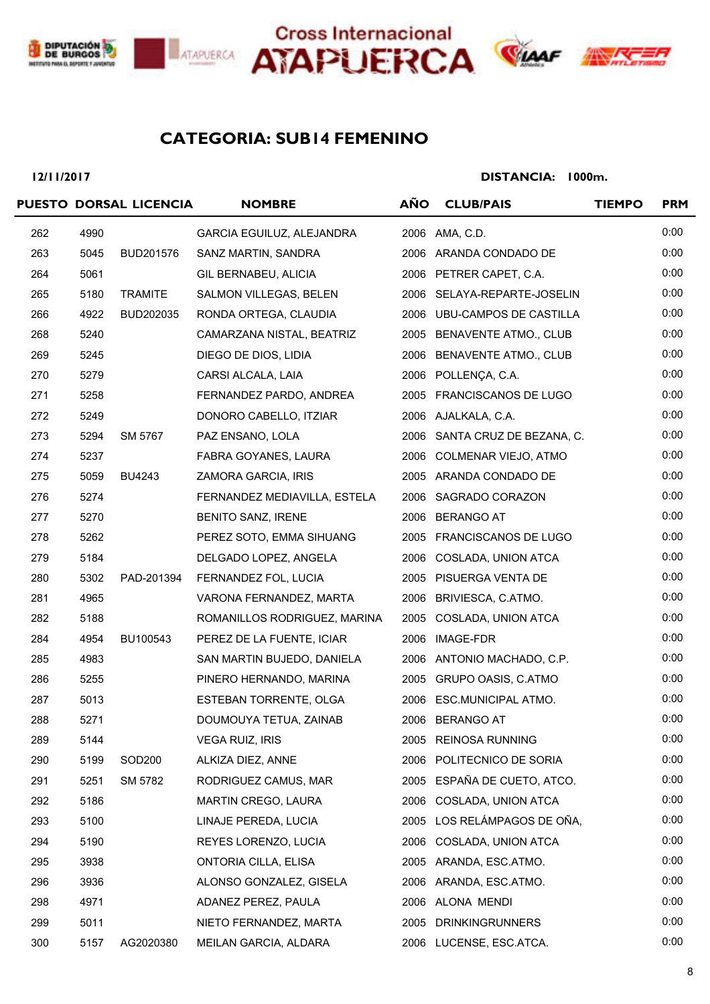





# TVK

# **SUB14 FEMENINO CATEGORIA:**

#### **12/11/2017**

|     |      | PUESTO DORSAL LICENCIA | <b>NOMBRE</b>                | <b>AÑO</b> | <b>CLUB/PAIS</b>              | <b>TIEMPO</b> | <b>PRM</b> |
|-----|------|------------------------|------------------------------|------------|-------------------------------|---------------|------------|
| 262 | 4990 |                        | GARCIA EGUILUZ, ALEJANDRA    |            | 2006 AMA, C.D.                |               | 0:00       |
| 263 | 5045 | BUD201576              | SANZ MARTIN, SANDRA          |            | 2006 ARANDA CONDADO DE        |               | 0:00       |
| 264 | 5061 |                        | GIL BERNABEU, ALICIA         |            | 2006 PETRER CAPET, C.A.       |               | 0:00       |
| 265 | 5180 | <b>TRAMITE</b>         | SALMON VILLEGAS, BELEN       |            | 2006 SELAYA-REPARTE-JOSELIN   |               | 0:00       |
| 266 | 4922 | BUD202035              | RONDA ORTEGA, CLAUDIA        |            | 2006 UBU-CAMPOS DE CASTILLA   |               | 0:00       |
| 268 | 5240 |                        | CAMARZANA NISTAL, BEATRIZ    |            | 2005 BENAVENTE ATMO., CLUB    |               | 0:00       |
| 269 | 5245 |                        | DIEGO DE DIOS, LIDIA         |            | 2006 BENAVENTE ATMO., CLUB    |               | 0:00       |
| 270 | 5279 |                        | CARSI ALCALA, LAIA           |            | 2006 POLLENÇA, C.A.           |               | 0:00       |
| 271 | 5258 |                        | FERNANDEZ PARDO, ANDREA      |            | 2005 FRANCISCANOS DE LUGO     |               | 0:00       |
| 272 | 5249 |                        | DONORO CABELLO, ITZIAR       |            | 2006 AJALKALA, C.A.           |               | 0:00       |
| 273 | 5294 | SM 5767                | PAZ ENSANO, LOLA             |            | 2006 SANTA CRUZ DE BEZANA, C. |               | 0:00       |
| 274 | 5237 |                        | FABRA GOYANES, LAURA         |            | 2006 COLMENAR VIEJO, ATMO     |               | 0:00       |
| 275 | 5059 | <b>BU4243</b>          | ZAMORA GARCIA, IRIS          |            | 2005 ARANDA CONDADO DE        |               | 0:00       |
| 276 | 5274 |                        | FERNANDEZ MEDIAVILLA, ESTELA |            | 2006 SAGRADO CORAZON          |               | 0:00       |
| 277 | 5270 |                        | BENITO SANZ, IRENE           |            | 2006 BERANGO AT               |               | 0:00       |
| 278 | 5262 |                        | PEREZ SOTO, EMMA SIHUANG     |            | 2005 FRANCISCANOS DE LUGO     |               | 0:00       |
| 279 | 5184 |                        | DELGADO LOPEZ, ANGELA        |            | 2006 COSLADA, UNION ATCA      |               | 0:00       |
| 280 | 5302 | PAD-201394             | FERNANDEZ FOL, LUCIA         |            | 2005 PISUERGA VENTA DE        |               | 0:00       |
| 281 | 4965 |                        | VARONA FERNANDEZ, MARTA      |            | 2006 BRIVIESCA, C.ATMO.       |               | 0:00       |
| 282 | 5188 |                        | ROMANILLOS RODRIGUEZ, MARINA |            | 2005 COSLADA, UNION ATCA      |               | 0:00       |
| 284 | 4954 | BU100543               | PEREZ DE LA FUENTE, ICIAR    |            | 2006 IMAGE-FDR                |               | 0:00       |
| 285 | 4983 |                        | SAN MARTIN BUJEDO, DANIELA   |            | 2006 ANTONIO MACHADO, C.P.    |               | 0:00       |
| 286 | 5255 |                        | PINERO HERNANDO, MARINA      |            | 2005 GRUPO OASIS, C.ATMO      |               | 0:00       |
| 287 | 5013 |                        | ESTEBAN TORRENTE, OLGA       |            | 2006 ESC.MUNICIPAL ATMO.      |               | 0:00       |
| 288 | 5271 |                        | DOUMOUYA TETUA, ZAINAB       |            | 2006 BERANGO AT               |               | 0:00       |
| 289 | 5144 |                        | <b>VEGA RUIZ, IRIS</b>       |            | 2005 REINOSA RUNNING          |               | 0:00       |
| 290 | 5199 | SOD200                 | ALKIZA DIEZ, ANNE            |            | 2006 POLITECNICO DE SORIA     |               | 0:00       |
| 291 | 5251 | SM 5782                | RODRIGUEZ CAMUS, MAR         |            | 2005 ESPAÑA DE CUETO, ATCO.   |               | 0:00       |
| 292 | 5186 |                        | MARTIN CREGO, LAURA          |            | 2006 COSLADA, UNION ATCA      |               | 0:00       |
| 293 | 5100 |                        | LINAJE PEREDA, LUCIA         |            | 2005 LOS RELÁMPAGOS DE OÑA,   |               | 0:00       |
| 294 | 5190 |                        | REYES LORENZO, LUCIA         | 2006       | COSLADA, UNION ATCA           |               | 0:00       |
| 295 | 3938 |                        | <b>ONTORIA CILLA, ELISA</b>  |            | 2005 ARANDA, ESC.ATMO.        |               | 0:00       |
| 296 | 3936 |                        | ALONSO GONZALEZ, GISELA      |            | 2006 ARANDA, ESC.ATMO.        |               | 0:00       |
| 298 | 4971 |                        | ADANEZ PEREZ, PAULA          |            | 2006 ALONA MENDI              |               | 0:00       |
| 299 | 5011 |                        | NIETO FERNANDEZ, MARTA       |            | 2005 DRINKINGRUNNERS          |               | 0:00       |
| 300 | 5157 | AG2020380              | MEILAN GARCIA, ALDARA        |            | 2006 LUCENSE, ESC.ATCA.       |               | 0:00       |
|     |      |                        |                              |            |                               |               |            |